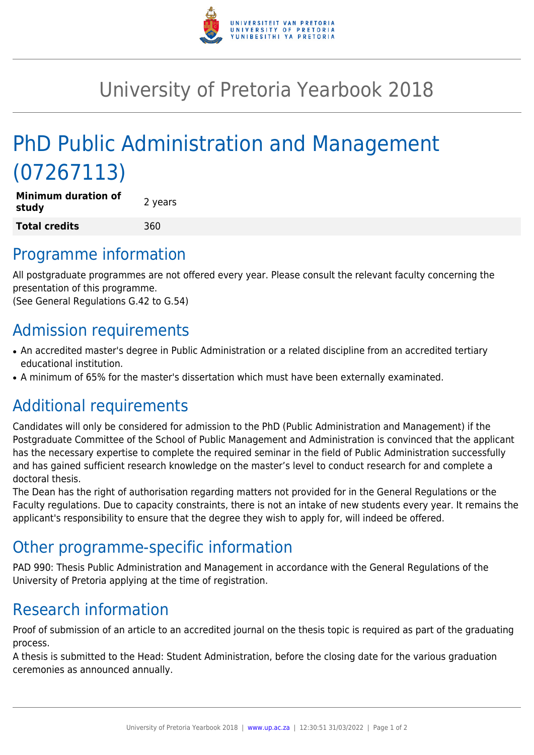

## University of Pretoria Yearbook 2018

# PhD Public Administration and Management (07267113)

| <b>Minimum duration of</b><br>study | 2 years |
|-------------------------------------|---------|
| <b>Total credits</b>                | 360     |

#### Programme information

All postgraduate programmes are not offered every year. Please consult the relevant faculty concerning the presentation of this programme.

(See General Regulations G.42 to G.54)

### Admission requirements

- An accredited master's degree in Public Administration or a related discipline from an accredited tertiary educational institution.
- A minimum of 65% for the master's dissertation which must have been externally examinated.

### Additional requirements

Candidates will only be considered for admission to the PhD (Public Administration and Management) if the Postgraduate Committee of the School of Public Management and Administration is convinced that the applicant has the necessary expertise to complete the required seminar in the field of Public Administration successfully and has gained sufficient research knowledge on the master's level to conduct research for and complete a doctoral thesis.

The Dean has the right of authorisation regarding matters not provided for in the General Regulations or the Faculty regulations. Due to capacity constraints, there is not an intake of new students every year. It remains the applicant's responsibility to ensure that the degree they wish to apply for, will indeed be offered.

### Other programme-specific information

PAD 990: Thesis Public Administration and Management in accordance with the General Regulations of the University of Pretoria applying at the time of registration.

### Research information

Proof of submission of an article to an accredited journal on the thesis topic is required as part of the graduating process.

A thesis is submitted to the Head: Student Administration, before the closing date for the various graduation ceremonies as announced annually.